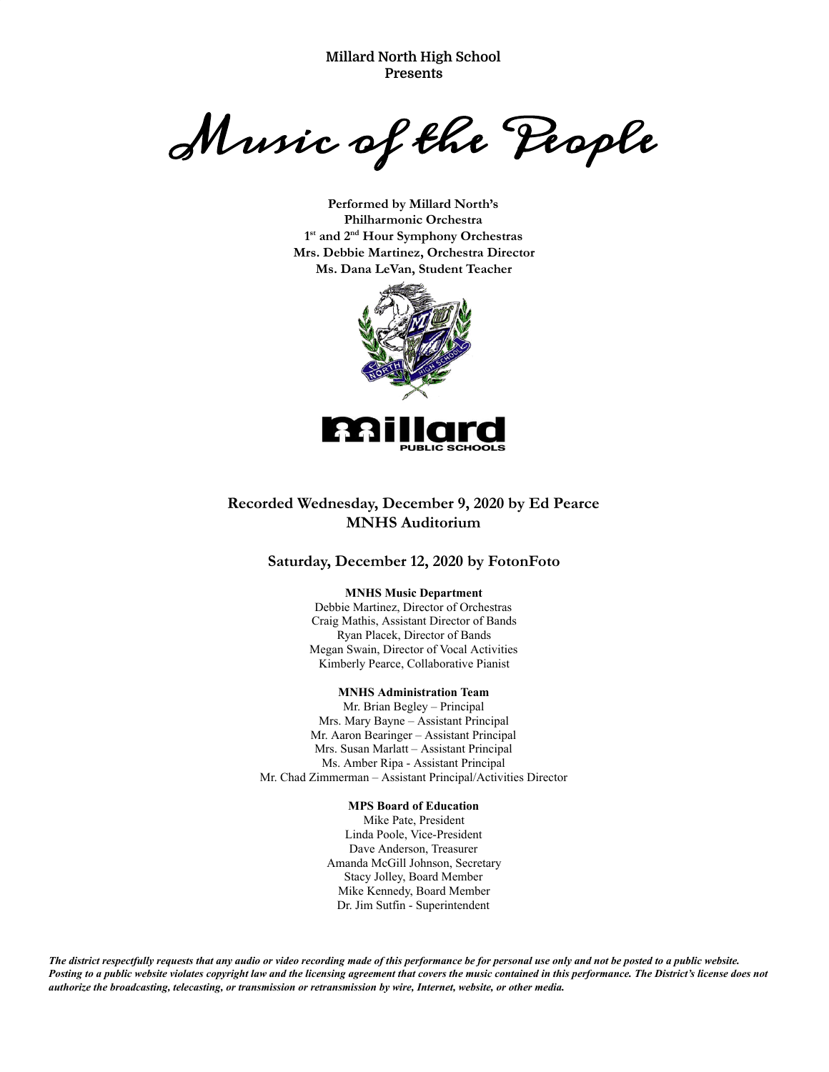**Millard North High School Presents**

Music of the People

**Performed by Millard North's Philharmonic Orchestra 1 st and 2 nd Hour Symphony Orchestras Mrs. Debbie Martinez, Orchestra Director Ms. Dana LeVan, Student Teacher**



### **Recorded Wednesday, December 9, 2020 by Ed Pearce MNHS Auditorium**

#### **Saturday, December 12, 2020 by FotonFoto**

#### **MNHS Music Department**

Debbie Martinez, Director of Orchestras Craig Mathis, Assistant Director of Bands Ryan Placek, Director of Bands Megan Swain, Director of Vocal Activities Kimberly Pearce, Collaborative Pianist

#### **MNHS Administration Team**

Mr. Brian Begley – Principal Mrs. Mary Bayne – Assistant Principal Mr. Aaron Bearinger – Assistant Principal Mrs. Susan Marlatt – Assistant Principal Ms. Amber Ripa - Assistant Principal Mr. Chad Zimmerman – Assistant Principal/Activities Director

#### **MPS Board of Education**

Mike Pate, President Linda Poole, Vice-President Dave Anderson, Treasurer Amanda McGill Johnson, Secretary Stacy Jolley, Board Member Mike Kennedy, Board Member Dr. Jim Sutfin - Superintendent

The district respectfully requests that any audio or video recording made of this performance be for personal use only and not be posted to a public website. Posting to a public website violates copyright law and the licensing agreement that covers the music contained in this performance. The District's license does not *authorize the broadcasting, telecasting, or transmission or retransmission by wire, Internet, website, or other media.*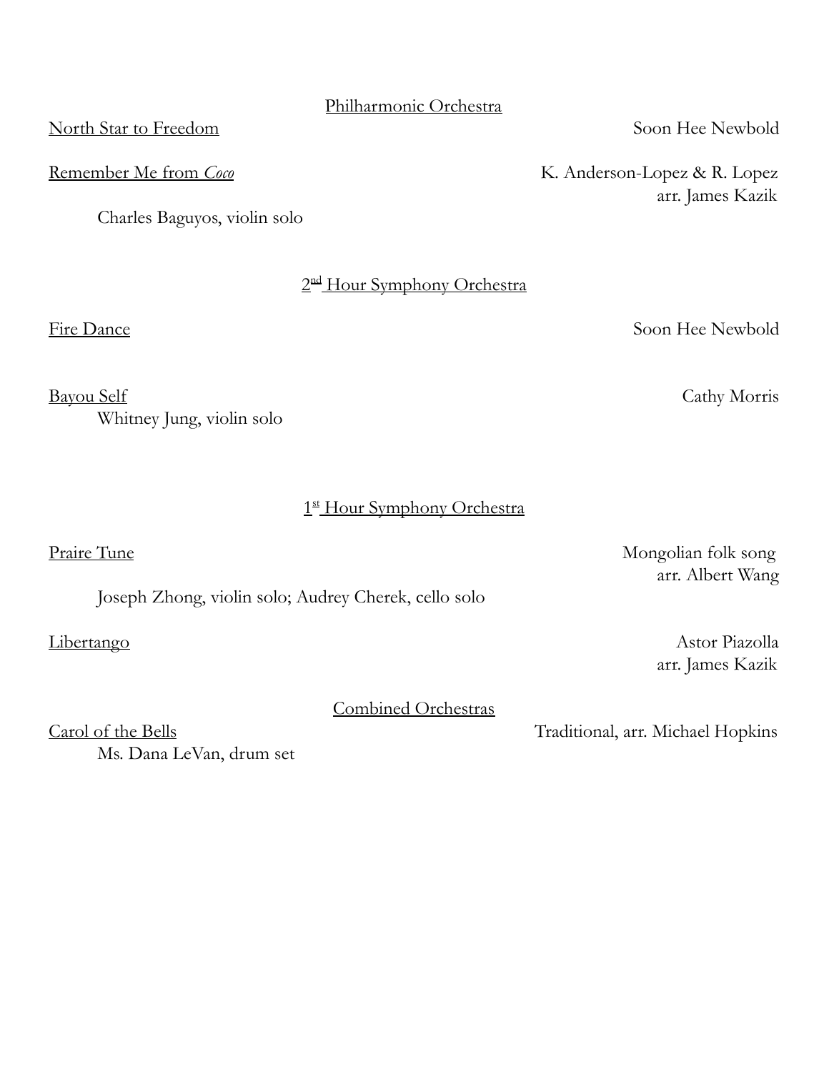# Philharmonic Orchestra

North Star to Freedom Soon Hee Newbold

Remember Me from *Coco* **K. Anderson-Lopez & R. Lopez** 

Charles Baguyos, violin solo

2<sup>nd</sup> Hour Symphony Orchestra

1st Hour Symphony Orchestra

Fire Dance Soon Hee Newbold

arr. James Kazik

Bayou Self Cathy Morris

Praire Tune Mongolian folk song arr. Albert Wang

Libertango Astor Piazolla arr. James Kazik

Carol of the Bells Traditional, arr. Michael Hopkins

Combined Orchestras

Ms. Dana LeVan, drum set

Whitney Jung, violin solo

Joseph Zhong, violin solo; Audrey Cherek, cello solo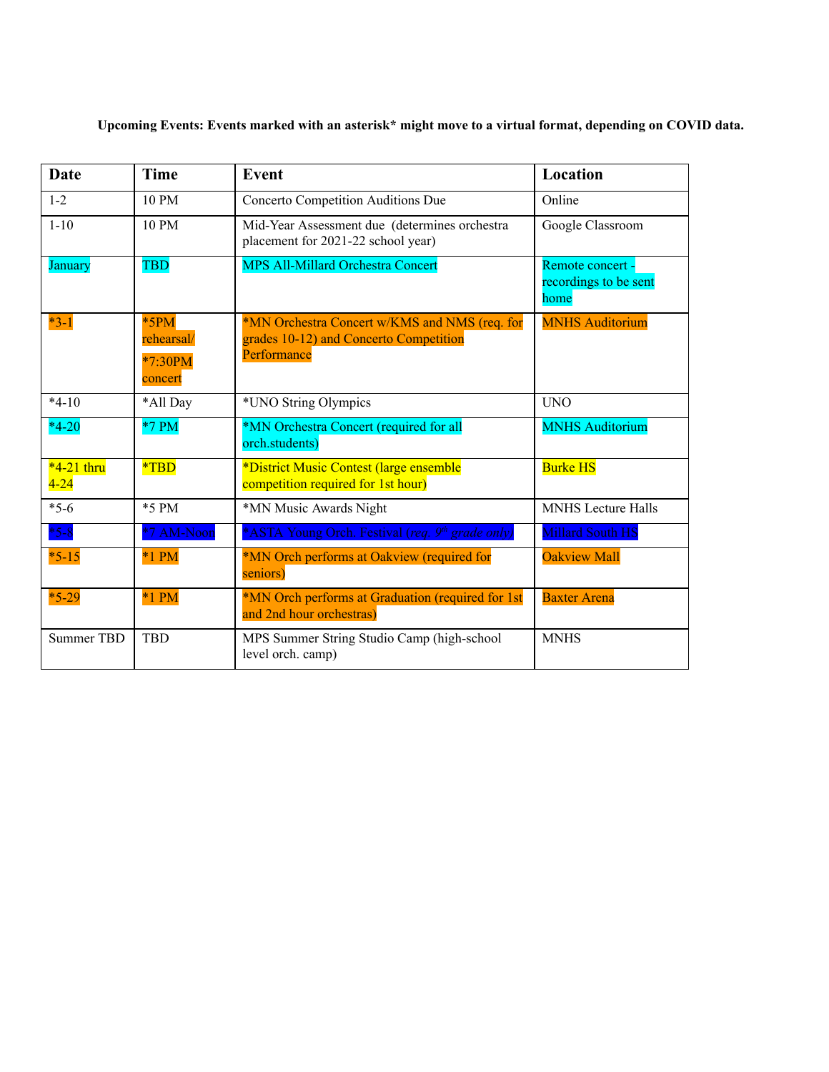**Upcoming Events: Events marked with an asterisk\* might move to a virtual format, depending on COVID data.**

| <b>Date</b>              | <b>Time</b>                                | <b>Event</b>                                                                                           | Location                                          |
|--------------------------|--------------------------------------------|--------------------------------------------------------------------------------------------------------|---------------------------------------------------|
| $1 - 2$                  | 10 PM                                      | Concerto Competition Auditions Due                                                                     | Online                                            |
| $1 - 10$                 | 10 PM                                      | Mid-Year Assessment due (determines orchestra<br>placement for 2021-22 school year)                    | Google Classroom                                  |
| January                  | <b>TBD</b>                                 | <b>MPS All-Millard Orchestra Concert</b>                                                               | Remote concert -<br>recordings to be sent<br>home |
| $*3-1$                   | $*5PM$<br>rehearsal/<br>*7:30PM<br>concert | *MN Orchestra Concert w/KMS and NMS (req. for<br>grades 10-12) and Concerto Competition<br>Performance | <b>MNHS Auditorium</b>                            |
| $*4-10$                  | *All Day                                   | *UNO String Olympics                                                                                   | <b>UNO</b>                                        |
| $*4-20$                  | $*7 PM$                                    | *MN Orchestra Concert (required for all<br>orch.students)                                              | <b>MNHS Auditorium</b>                            |
| $*4-21$ thru<br>$4 - 24$ | $*TBD$                                     | *District Music Contest (large ensemble<br>competition required for 1st hour)                          | <b>Burke HS</b>                                   |
| $*5-6$                   | *5 PM                                      | *MN Music Awards Night                                                                                 | <b>MNHS</b> Lecture Halls                         |
| $*5 - 8$                 | *7 AM-Noon                                 | *ASTA Young Orch. Festival (req. 9 <sup>th</sup> grade only)                                           | <b>Millard South HS</b>                           |
| $*5-15$                  | $*1$ PM                                    | *MN Orch performs at Oakview (required for<br>seniors)                                                 | <b>Oakview Mall</b>                               |
| $*5-29$                  | $*1$ PM                                    | *MN Orch performs at Graduation (required for 1st<br>and 2nd hour orchestras)                          | <b>Baxter Arena</b>                               |
| <b>Summer TBD</b>        | <b>TBD</b>                                 | MPS Summer String Studio Camp (high-school<br>level orch. camp)                                        | <b>MNHS</b>                                       |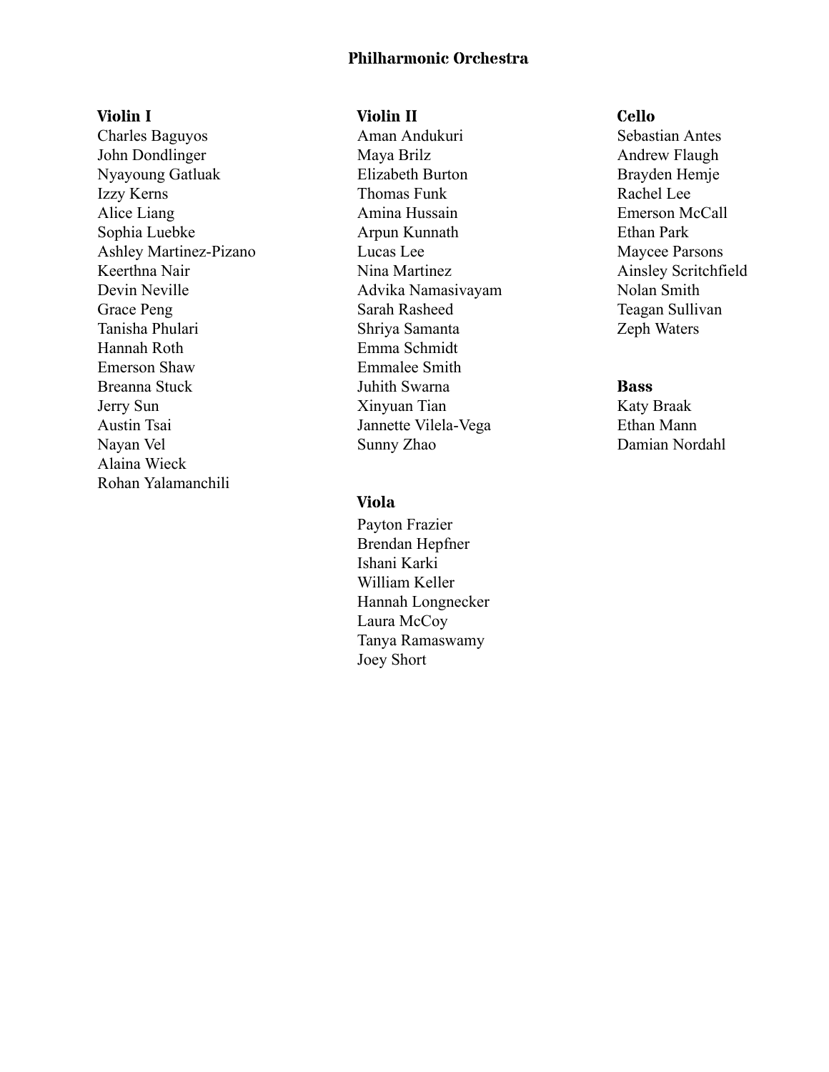## **Philharmonic Orchestra**

### **Violin I**

Charles Baguyos John Dondlinger Nyayoung Gatluak Izzy Kerns Alice Liang Sophia Luebke Ashley Martinez-Pizano Keerthna Nair Devin Neville Grace Peng Tanisha Phulari Hannah Roth Emerson Shaw Breanna Stuck Jerry Sun Austin Tsai Nayan Vel Alaina Wieck Rohan Yalamanchili

### **Violin II**

Aman Andukuri Maya Brilz Elizabeth Burton Thomas Funk Amina Hussain Arpun Kunnath Lucas Lee Nina Martinez Advika Namasivayam Sarah Rasheed Shriya Samanta Emma Schmidt Emmalee Smith Juhith Swarna Xinyuan Tian Jannette Vilela-Vega Sunny Zhao

## **Viola**

Payton Frazier Brendan Hepfner Ishani Karki William Keller Hannah Longnecker Laura McCoy Tanya Ramaswamy Joey Short

#### **Cello**

Sebastian Antes Andrew Flaugh Brayden Hemje Rachel Lee Emerson McCall Ethan Park Maycee Parsons Ainsley Scritchfield Nolan Smith Teagan Sullivan Zeph Waters

### **Bass**

Katy Braak Ethan Mann Damian Nordahl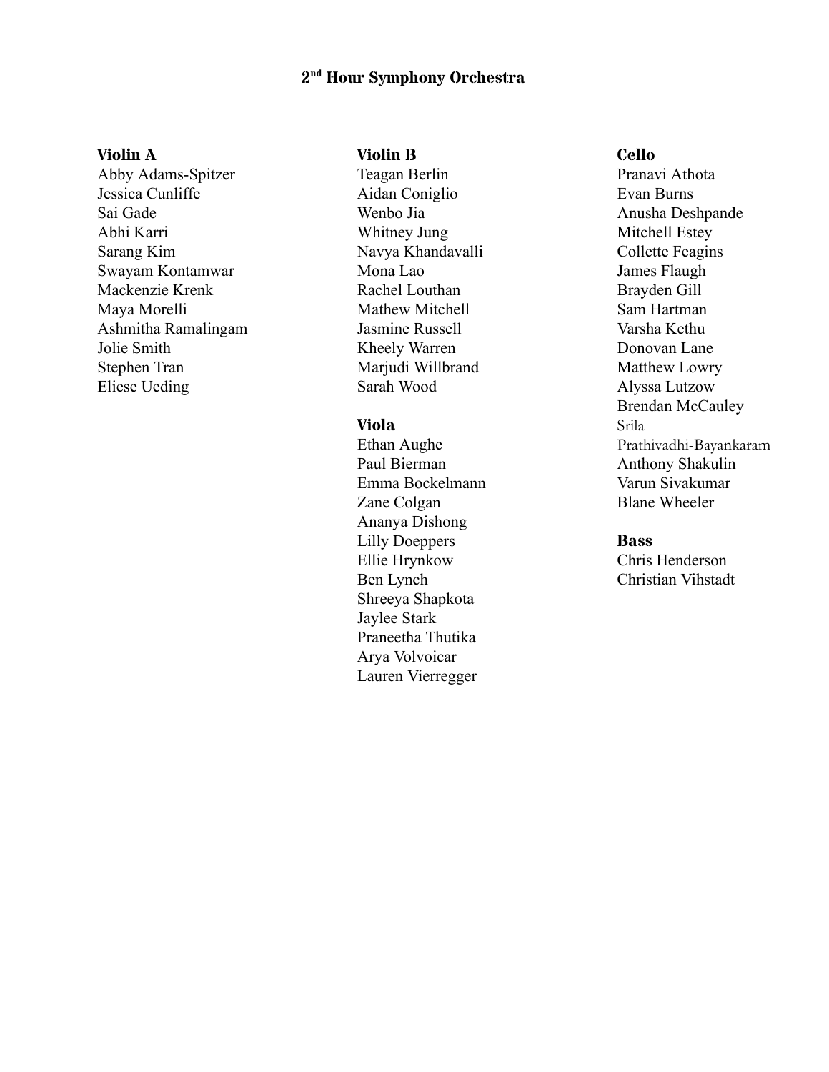# **2 nd Hour Symphony Orchestra**

### **Violin A**

Abby Adams-Spitzer Jessica Cunliffe Sai Gade Abhi Karri Sarang Kim Swayam Kontamwar Mackenzie Krenk Maya Morelli Ashmitha Ramalingam Jolie Smith Stephen Tran Eliese Ueding

#### **Violin B**

Teagan Berlin Aidan Coniglio Wenbo Jia Whitney Jung Navya Khandavalli Mona Lao Rachel Louthan Mathew Mitchell Jasmine Russell Kheely Warren Marjudi Willbrand Sarah Wood

# **Viola**

Ethan Aughe Paul Bierman Emma Bockelmann Zane Colgan Ananya Dishong Lilly Doeppers Ellie Hrynkow Ben Lynch Shreeya Shapkota Jaylee Stark Praneetha Thutika Arya Volvoicar Lauren Vierregger

### **Cello**

Pranavi Athota Evan Burns Anusha Deshpande Mitchell Estey Collette Feagins James Flaugh Brayden Gill Sam Hartman Varsha Kethu Donovan Lane Matthew Lowry Alyssa Lutzow Brendan McCauley Srila Prathivadhi-Bayankaram Anthony Shakulin Varun Sivakumar Blane Wheeler

#### **Bass**

Chris Henderson Christian Vihstadt